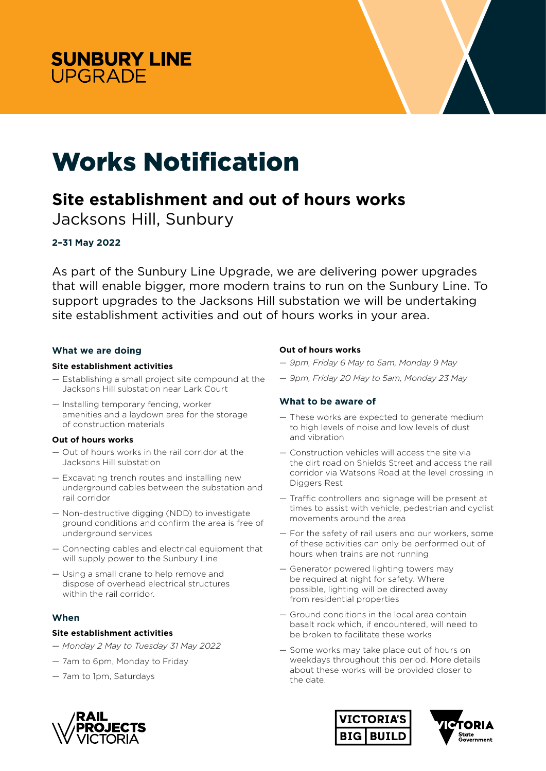



# Works Notification

## **Site establishment and out of hours works**

Jacksons Hill, Sunbury

### **2–31 May 2022**

As part of the Sunbury Line Upgrade, we are delivering power upgrades that will enable bigger, more modern trains to run on the Sunbury Line. To support upgrades to the Jacksons Hill substation we will be undertaking site establishment activities and out of hours works in your area.

#### **What we are doing**

#### **Site establishment activities**

- Establishing a small project site compound at the Jacksons Hill substation near Lark Court
- Installing temporary fencing, worker amenities and a laydown area for the storage of construction materials

#### **Out of hours works**

- Out of hours works in the rail corridor at the Jacksons Hill substation
- Excavating trench routes and installing new underground cables between the substation and rail corridor
- Non-destructive digging (NDD) to investigate ground conditions and confirm the area is free of underground services
- Connecting cables and electrical equipment that will supply power to the Sunbury Line
- Using a small crane to help remove and dispose of overhead electrical structures within the rail corridor.

#### **When**

#### **Site establishment activities**

- *Monday 2 May to Tuesday 31 May 2022*
- 7am to 6pm, Monday to Friday
- 7am to 1pm, Saturdays

#### **Out of hours works**

- *9pm, Friday 6 May to 5am, Monday 9 May*
- *9pm, Friday 20 May to 5am, Monday 23 May*

#### **What to be aware of**

- These works are expected to generate medium to high levels of noise and low levels of dust and vibration
- Construction vehicles will access the site via the dirt road on Shields Street and access the rail corridor via Watsons Road at the level crossing in Diggers Rest
- Traffic controllers and signage will be present at times to assist with vehicle, pedestrian and cyclist movements around the area
- For the safety of rail users and our workers, some of these activities can only be performed out of hours when trains are not running
- Generator powered lighting towers may be required at night for safety. Where possible, lighting will be directed away from residential properties
- Ground conditions in the local area contain basalt rock which, if encountered, will need to be broken to facilitate these works
- Some works may take place out of hours on weekdays throughout this period. More details about these works will be provided closer to the date.